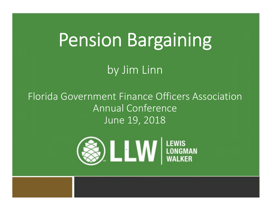# Pension Bargaining

by Jim Linn

Florida Government Finance Officers Association Annual Conference June 19, 2018

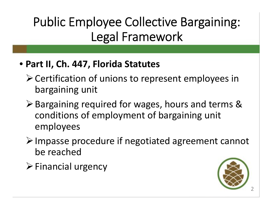### Public Employee Collective Bargaining: Legal Framework

#### • **Part II, Ch. 447, Florida Statutes**

- Certification of unions to represent employees in bargaining unit
- **≻ Bargaining required for wages, hours and terms &** conditions of employment of bargaining unit employees
- $\triangleright$  Impasse procedure if negotiated agreement cannot be reached
- $\triangleright$  Financial urgency

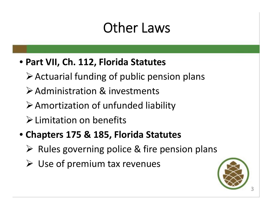## Other Laws

#### • **Part VII, Ch. 112, Florida Statutes**

- Actuarial funding of public pension plans
- Administration & investments
- $\triangleright$  Amortization of unfunded liability
- Limitation on benefits
- **Chapters 175 & 185, Florida Statutes**
	- $\triangleright$  Rules governing police & fire pension plans
	- $\triangleright$  Use of premium tax revenues

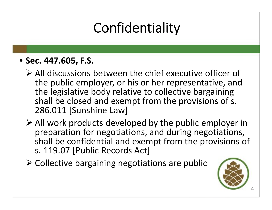# **Confidentiality**

#### • **Sec. 447.605, F.S.**

- All discussions between the chief executive officer of the public employer, or his or her representative, and the legislative body relative to collective bargaining shall be closed and exempt from the provisions of s. 286.011 [Sunshine Law]
- All work products developed by the public employer in preparation for negotiations, and during negotiations, shall be confidential and exempt from the provisions of s. 119.07 [Public Records Act]
- $\triangleright$  Collective bargaining negotiations are public

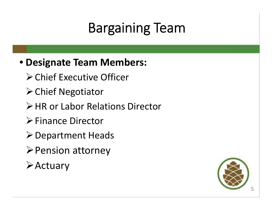# Bargaining Team

#### • **Designate Team Members:**

- Chief Executive Officer
- **≻ Chief Negotiator**
- **≻HR or Labor Relations Director**
- **Finance Director**
- **≻ Department Heads**
- $\triangleright$  Pension attorney
- **≻Actuary**

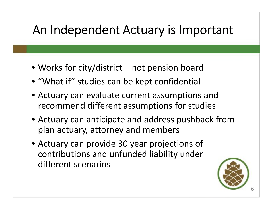#### An Independent Actuary is Important

- Works for city/district not pension board
- "What if" studies can be kept confidential
- Actuary can evaluate current assumptions and recommend different assumptions for studies
- Actuary can anticipate and address pushback from plan actuary, attorney and members
- Actuary can provide 30 year projections of contributions and unfunded liability under different scenarios

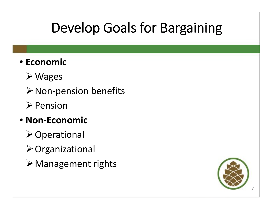## Develop Goals for Bargaining

#### • **Economic**

- Wages
- $\triangleright$  Non-pension benefits
- $\triangleright$  Pension

#### • **Non-Economic**

- **≻Operational**
- Organizational
- $\triangleright$  Management rights

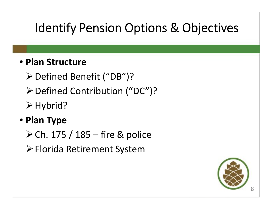### Identify Pension Options & Objectives

#### • **Plan Structure**

- Defined Benefit ("DB")?
- Defined Contribution ("DC")?
- $\triangleright$  Hybrid?

#### • **Plan Type**

- $\triangleright$  Ch. 175 / 185 fire & police
- Florida Retirement System

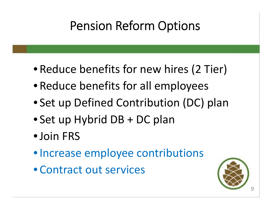### Pension Reform Options

- Reduce benefits for new hires (2 Tier)
- Reduce benefits for all employees
- Set up Defined Contribution (DC) plan
- Set up Hybrid DB + DC plan
- •Join FRS
- Increase employee contributions
- Contract out services

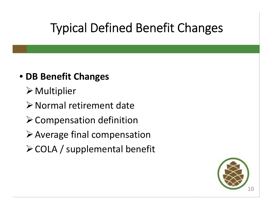### Typical Defined Benefit Changes

#### • **DB Benefit Changes**

- Multiplier
- Normal retirement date
- $\triangleright$  Compensation definition
- Average final compensation
- COLA / supplemental benefit

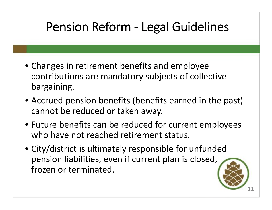### Pension Reform - Legal Guidelines

- Changes in retirement benefits and employee contributions are mandatory subjects of collective bargaining.
- Accrued pension benefits (benefits earned in the past) cannot be reduced or taken away.
- Future benefits can be reduced for current employees who have not reached retirement status.
- City/district is ultimately responsible for unfunded pension liabilities, even if current plan is closed, frozen or terminated.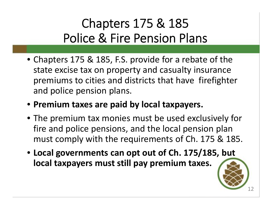### Chapters 175 & 185 Police & Fire Pension Plans

- Chapters 175 & 185, F.S. provide for a rebate of the state excise tax on property and casualty insurance premiums to cities and districts that have firefighter and police pension plans.
- **Premium taxes are paid by local taxpayers.**
- The premium tax monies must be used exclusively for fire and police pensions, and the local pension plan must comply with the requirements of Ch. 175 & 185.
- **Local governments can opt out of Ch. 175/185, but local taxpayers must still pay premium taxes.**

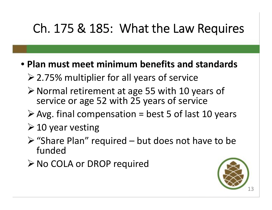#### Ch. 175 & 185: What the Law Requires

- **Plan must meet minimum benefits and standards**
	- 2.75% multiplier for all years of service
	- $\triangleright$  Normal retirement at age 55 with 10 years of service or age 52 with 25 years of service
	- $\triangleright$  Avg. final compensation = best 5 of last 10 years
	- $\geq 10$  year vesting
	- $\triangleright$  "Share Plan" required but does not have to be funded
	- **≻No COLA or DROP required**

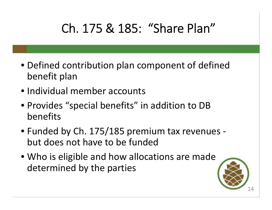### Ch. 175 & 185: "Share Plan"

- Defined contribution plan component of defined benefit plan
- Individual member accounts
- Provides "special benefits" in addition to DB benefits
- Funded by Ch. 175/185 premium tax revenues but does not have to be funded
- Who is eligible and how allocations are made determined by the parties

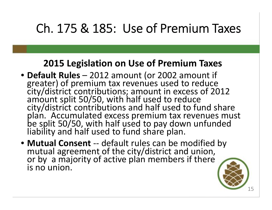### Ch. 175 & 185: Use of Premium Taxes

#### **2015 Legislation on Use of Premium Taxes**

- **Default Rules**  2012 amount (or 2002 amount if greater) of premium tax revenues used to reduce city/district contributions; amount in excess of 2012 amount split 50/50, with half used to reduce city/district contributions and half used to fund share plan. Accumulated excess premium tax revenues must be split 50/50, with half used to pay down unfunded liability and half used to fund share plan.
- **Mutual Consent** -- default rules can be modified by mutual agreement of the city/district and union, or by a majority of active plan members if there is no union.

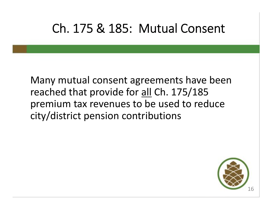#### Ch. 175 & 185: Mutual Consent

Many mutual consent agreements have been reached that provide for all Ch. 175/185 premium tax revenues to be used to reduce city/district pension contributions

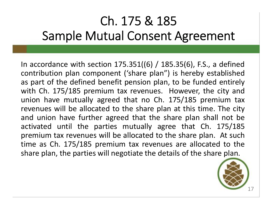### Ch. 175 & 185 Sample Mutual Consent Agreement

In accordance with section  $175.351((6) / 185.35(6)$ , F.S., a defined contribution plan component ('share plan") is hereby established as part of the defined benefit pension plan, to be funded entirely with Ch. 175/185 premium tax revenues. However, the city and union have mutually agreed that no Ch. 175/185 premium tax revenues will be allocated to the share plan at this time. The city and union have further agreed that the share plan shall not be activated until the parties mutually agree that Ch. 175/185 premium tax revenues will be allocated to the share plan. At such time as Ch. 175/185 premium tax revenues are allocated to the share plan, the parties will negotiate the details of the share plan.

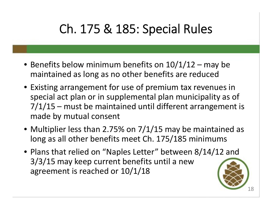### Ch. 175 & 185: Special Rules

- Benefits below minimum benefits on  $10/1/12$  may be maintained as long as no other benefits are reduced
- Existing arrangement for use of premium tax revenues in special act plan or in supplemental plan municipality as of 7/1/15 – must be maintained until different arrangement is made by mutual consent
- Multiplier less than 2.75% on 7/1/15 may be maintained as long as all other benefits meet Ch. 175/185 minimums
- Plans that relied on "Naples Letter" between 8/14/12 and 3/3/15 may keep current benefits until a new agreement is reached or 10/1/18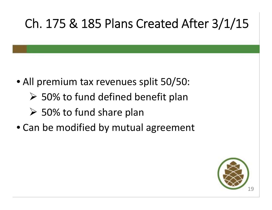### Ch. 175 & 185 Plans Created After 3/1/15

- All premium tax revenues split 50/50:
	- $\geq$  50% to fund defined benefit plan
	- $\geq$  50% to fund share plan
- Can be modified by mutual agreement

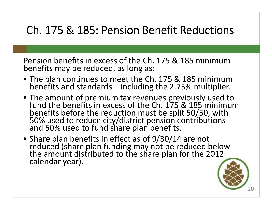#### Ch. 175 & 185: Pension Benefit Reductions

Pension benefits in excess of the Ch. 175 & 185 minimum benefits may be reduced, as long as:

- The plan continues to meet the Ch. 175 & 185 minimum benefits and standards – including the 2.75% multiplier.
- The amount of premium tax revenues previously used to fund the benefits in excess of the Ch. 175 & 185 minimum benefits before the reduction must be split 50/50, with 50% used to reduce city/district pension contributions and 50% used to fund share plan benefits.
- Share plan benefits in effect as of 9/30/14 are not reduced (share plan funding may not be reduced below the amount distributed to the share plan for the 2012 calendar year).

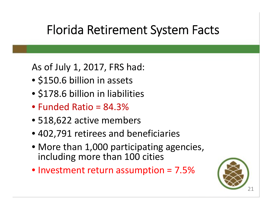#### Florida Retirement System Facts

As of July 1, 2017, FRS had:

- \$150.6 billion in assets
- \$178.6 billion in liabilities
- Funded Ratio = 84.3%
- 518,622 active members
- 402,791 retirees and beneficiaries
- More than 1,000 participating agencies, including more than 100 cities
- Investment return assumption = 7.5%

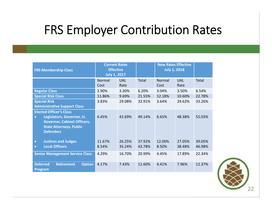#### FRS Employer Contribution Rates

| <b>FRS Membership Class</b>                                                                                                                              | <b>Current Rates</b><br><b>Effective</b><br><b>July 1, 2017</b> |                    |                  | <b>New Rates Effective</b><br><b>July 1, 2018</b> |                    |                  |
|----------------------------------------------------------------------------------------------------------------------------------------------------------|-----------------------------------------------------------------|--------------------|------------------|---------------------------------------------------|--------------------|------------------|
|                                                                                                                                                          | Normal<br>Cost                                                  | <b>UAL</b><br>Rate | Total            | Normal<br>Cost                                    | <b>UAL</b><br>Rate | Total            |
| <b>Regular Class</b>                                                                                                                                     | 2.90%                                                           | 3.30%              | 6.20%            | 3.04%                                             | 3.50%              | 6.54%            |
| <b>Special Risk Class</b>                                                                                                                                | 11.86%                                                          | 9.69%              | 21.55%           | 12.18%                                            | 10.60%             | 22.78%           |
| <b>Special Risk</b><br><b>Administrative Support Class</b>                                                                                               | 3.83%                                                           | 29.08%             | 32.91%           | 3.64%                                             | 29.62%             | 33.26%           |
| <b>Elected Officer's Class</b><br>Legislators, Governor, Lt.<br><b>Governor, Cabinet Officers,</b><br><b>State Attorneys, Public</b><br><b>Defenders</b> | 6.45%                                                           | 42.69%             | 49.14%           | 6.65%                                             | 48.38%             | 55.03%           |
| <b>Justices and Judges</b><br>$\bullet$<br><b>Local Officers</b><br>$\bullet$                                                                            | 11.67%<br>8.54%                                                 | 26.25%<br>35.24%   | 37.92%<br>43.78% | 12.00%<br>8.50%                                   | 27.05%<br>38.48%   | 39.05%<br>46.98% |
| <b>Senior Management Service Class</b>                                                                                                                   | 4.29%                                                           | 16.70%             | 20.99%           | 4.45%                                             | 17.89%             | 22.34%           |
| <b>Deferred</b><br><b>Retirement</b><br><b>Option</b><br><b>Program</b>                                                                                  | 4.17%                                                           | 7.43%              | 11.60%           | 4.41%                                             | 7.96%              | 12.37%           |

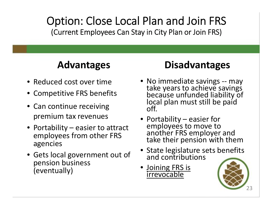#### Option: Close Local Plan and Join FRS (Current Employees Can Stay in City Plan or Join FRS)

#### **Advantages**

- Reduced cost over time
- Competitive FRS benefits
- Can continue receiving premium tax revenues
- Portability easier to attract employees from other FRS agencies
- Gets local government out of pension business (eventually)

#### **Disadvantages**

- No immediate savings -- may take years to achieve savings because unfunded liability of local plan must still be paid off.
- Portability easier for employees to move to another FRS employer and take their pension with them
- State legislature sets benefits and contributions
- **Joining FRS is** irrevocable

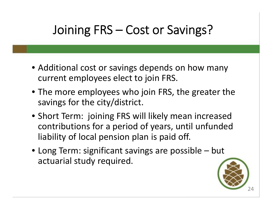### Joining FRS – Cost or Savings?

- Additional cost or savings depends on how many current employees elect to join FRS.
- The more employees who join FRS, the greater the savings for the city/district.
- Short Term: joining FRS will likely mean increased contributions for a period of years, until unfunded liability of local pension plan is paid off.
- Long Term: significant savings are possible but actuarial study required.

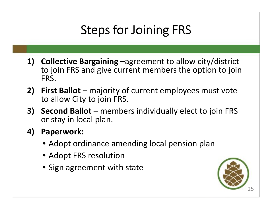### Steps for Joining FRS

- **1) Collective Bargaining** –agreement to allow city/district to join FRS and give current members the option to join FRS.
- **2) First Ballot** majority of current employees must vote to allow City to join FRS.
- **3) Second Ballot** members individually elect to join FRS or stay in local plan.
- **4) Paperwork:**
	- Adopt ordinance amending local pension plan
	- Adopt FRS resolution
	- Sign agreement with state